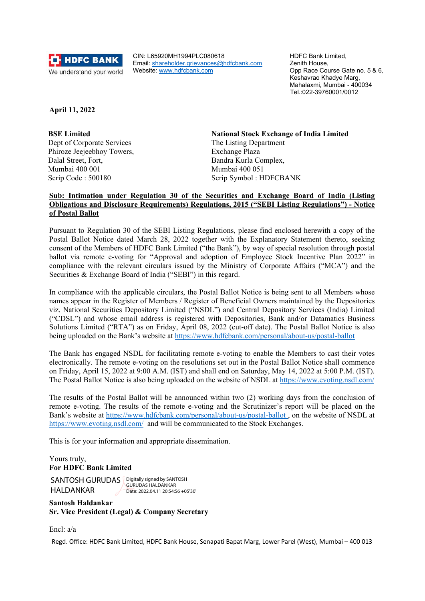

CIN: L65920MH1994PLC080618 Email: shareholder.grievances@hdfcbank.com Website: www.hdfcbank.com

HDFC Bank Limited, Zenith House, Opp Race Course Gate no. 5 & 6, Keshavrao Khadye Marg, Mahalaxmi, Mumbai - 400034 Tel.:022-39760001/0012

**April 11, 2022**

 **BSE Limited** Dept of Corporate Services Phiroze Jeejeebhoy Towers, Dalal Street, Fort, Mumbai 400 001 Scrip Code : 500180

**National Stock Exchange of India Limited** The Listing Department Exchange Plaza Bandra Kurla Complex, Mumbai 400 051 Scrip Symbol : HDFCBANK

# **Sub: Intimation under Regulation 30 of the Securities and Exchange Board of India (Listing Obligations and Disclosure Requirements) Regulations, 2015 ("SEBI Listing Regulations") - Notice of Postal Ballot**

Pursuant to Regulation 30 of the SEBI Listing Regulations, please find enclosed herewith a copy of the Postal Ballot Notice dated March 28, 2022 together with the Explanatory Statement thereto, seeking consent of the Members of HDFC Bank Limited ("the Bank"), by way of special resolution through postal ballot via remote e-voting for "Approval and adoption of Employee Stock Incentive Plan 2022" in compliance with the relevant circulars issued by the Ministry of Corporate Affairs ("MCA") and the Securities & Exchange Board of India ("SEBI") in this regard.

In compliance with the applicable circulars, the Postal Ballot Notice is being sent to all Members whose names appear in the Register of Members / Register of Beneficial Owners maintained by the Depositories viz. National Securities Depository Limited ("NSDL") and Central Depository Services (India) Limited ("CDSL") and whose email address is registered with Depositories, Bank and/or Datamatics Business Solutions Limited ("RTA") as on Friday, April 08, 2022 (cut-off date). The Postal Ballot Notice is also being uploaded on the Bank's website at https://www.hdfcbank.com/personal/about-us/postal-ballot

The Bank has engaged NSDL for facilitating remote e-voting to enable the Members to cast their votes electronically. The remote e‐voting on the resolutions set out in the Postal Ballot Notice shall commence on Friday, April 15, 2022 at 9:00 A.M. (IST) and shall end on Saturday, May 14, 2022 at 5:00 P.M. (IST). The Postal Ballot Notice is also being uploaded on the website of NSDL at https://www.evoting.nsdl.com/

The results of the Postal Ballot will be announced within two (2) working days from the conclusion of remote e-voting. The results of the remote e-voting and the Scrutinizer's report will be placed on the Bank's website at https://www.hdfcbank.com/personal/about-us/postal-ballot , on the website of NSDL at https://www.evoting.nsdl.com/ and will be communicated to the Stock Exchanges.

This is for your information and appropriate dissemination.

# Yours truly, **For HDFC Bank Limited**

SANTOSH GURUDAS Bigitally signed by SANTOSH HALDANKAR GURUDAS HALDANKAR Date: 2022.04.11 20:54:56 +05'30'

**Santosh Haldankar Sr. Vice President (Legal) & Company Secretary** 

Encl: a/a

Regd. Office: HDFC Bank Limited, HDFC Bank House, Senapati Bapat Marg, Lower Parel (West), Mumbai – 400 013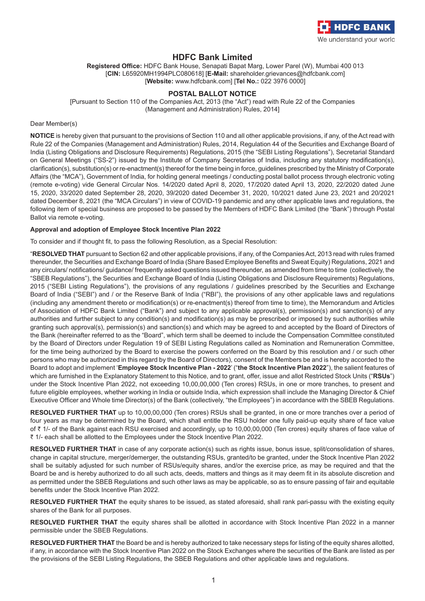

# **HDFC Bank Limited**

**Registered Office:** HDFC Bank House, Senapati Bapat Marg, Lower Parel (W), Mumbai 400 013 [**CIN:** L65920MH1994PLC080618] [**E-Mail:** shareholder.grievances@hdfcbank.com] [**Website:** www.hdfcbank.com] [**Tel No.:** 022 3976 0000]

# **POSTAL BALLOT NOTICE**

[Pursuant to Section 110 of the Companies Act, 2013 (the "Act") read with Rule 22 of the Companies (Management and Administration) Rules, 2014]

#### Dear Member(s)

**NOTICE** is hereby given that pursuant to the provisions of Section 110 and all other applicable provisions, if any, of the Act read with Rule 22 of the Companies (Management and Administration) Rules, 2014, Regulation 44 of the Securities and Exchange Board of India (Listing Obligations and Disclosure Requirements) Regulations, 2015 (the "SEBI Listing Regulations"), Secretarial Standard on General Meetings ("SS-2") issued by the Institute of Company Secretaries of India, including any statutory modification(s), clarification(s), substitution(s) or re-enactment(s) thereof for the time being in force, guidelines prescribed by the Ministry of Corporate Affairs (the "MCA"), Government of India, for holding general meetings / conducting postal ballot process through electronic voting (remote e-voting) vide General Circular Nos. 14/2020 dated April 8, 2020, 17/2020 dated April 13, 2020, 22/2020 dated June 15, 2020, 33/2020 dated September 28, 2020, 39/2020 dated December 31, 2020, 10/2021 dated June 23, 2021 and 20/2021 dated December 8, 2021 (the "MCA Circulars") in view of COVID-19 pandemic and any other applicable laws and regulations, the following item of special business are proposed to be passed by the Members of HDFC Bank Limited (the "Bank") through Postal Ballot via remote e-voting.

#### **Approval and adoption of Employee Stock Incentive Plan 2022**

To consider and if thought fit, to pass the following Resolution, as a Special Resolution:

"**RESOLVED THAT** pursuant to Section 62 and other applicable provisions, if any, of the Companies Act, 2013 read with rules framed thereunder, the Securities and Exchange Board of India (Share Based Employee Benefits and Sweat Equity) Regulations, 2021 and any circulars/ notifications/ guidance/ frequently asked questions issued thereunder, as amended from time to time (collectively, the "SBEB Regulations"), the Securities and Exchange Board of India (Listing Obligations and Disclosure Requirements) Regulations, 2015 ("SEBI Listing Regulations"), the provisions of any regulations / guidelines prescribed by the Securities and Exchange Board of India ("SEBI") and / or the Reserve Bank of India ("RBI"), the provisions of any other applicable laws and regulations (including any amendment thereto or modification(s) or re-enactment(s) thereof from time to time), the Memorandum and Articles of Association of HDFC Bank Limited ("Bank") and subject to any applicable approval(s), permission(s) and sanction(s) of any authorities and further subject to any condition(s) and modification(s) as may be prescribed or imposed by such authorities while granting such approval(s), permission(s) and sanction(s) and which may be agreed to and accepted by the Board of Directors of the Bank (hereinafter referred to as the "Board", which term shall be deemed to include the Compensation Committee constituted by the Board of Directors under Regulation 19 of SEBI Listing Regulations called as Nomination and Remuneration Committee, for the time being authorized by the Board to exercise the powers conferred on the Board by this resolution and / or such other persons who may be authorized in this regard by the Board of Directors), consent of the Members be and is hereby accorded to the Board to adopt and implement '**Employee Stock Incentive Plan - 2022**' ("**the Stock Incentive Plan 2022**"), the salient features of which are furnished in the Explanatory Statement to this Notice, and to grant, offer, issue and allot Restricted Stock Units ("**RSUs**") under the Stock Incentive Plan 2022, not exceeding 10,00,00,000 (Ten crores) RSUs, in one or more tranches, to present and future eligible employees, whether working in India or outside India, which expression shall include the Managing Director & Chief Executive Officer and Whole time Director(s) of the Bank (collectively, "the Employees") in accordance with the SBEB Regulations.

**RESOLVED FURTHER THAT** up to 10,00,00,000 (Ten crores) RSUs shall be granted, in one or more tranches over a period of four years as may be determined by the Board, which shall entitle the RSU holder one fully paid-up equity share of face value of ` 1/- of the Bank against each RSU exercised and accordingly, up to 10,00,00,000 (Ten crores) equity shares of face value of ` 1/- each shall be allotted to the Employees under the Stock Incentive Plan 2022.

**RESOLVED FURTHER THAT** in case of any corporate action(s) such as rights issue, bonus issue, split/consolidation of shares, change in capital structure, merger/demerger, the outstanding RSUs, granted/to be granted, under the Stock Incentive Plan 2022 shall be suitably adjusted for such number of RSUs/equity shares, and/or the exercise price, as may be required and that the Board be and is hereby authorized to do all such acts, deeds, matters and things as it may deem fit in its absolute discretion and as permitted under the SBEB Regulations and such other laws as may be applicable, so as to ensure passing of fair and equitable benefits under the Stock Incentive Plan 2022.

**RESOLVED FURTHER THAT** the equity shares to be issued, as stated aforesaid, shall rank pari-passu with the existing equity shares of the Bank for all purposes.

**RESOLVED FURTHER THAT** the equity shares shall be allotted in accordance with Stock Incentive Plan 2022 in a manner permissible under the SBEB Regulations.

**RESOLVED FURTHER THAT** the Board be and is hereby authorized to take necessary steps for listing of the equity shares allotted, if any, in accordance with the Stock Incentive Plan 2022 on the Stock Exchanges where the securities of the Bank are listed as per the provisions of the SEBI Listing Regulations, the SBEB Regulations and other applicable laws and regulations.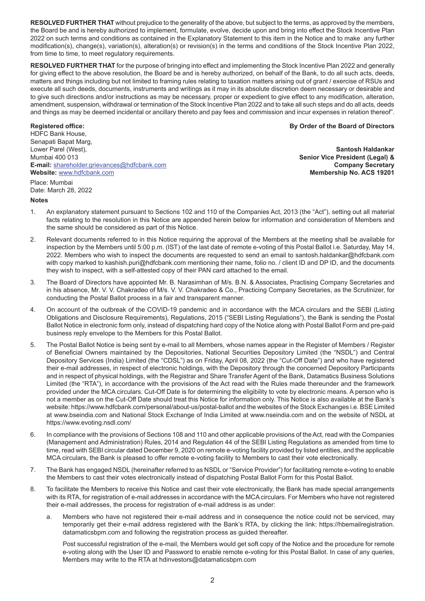**RESOLVED FURTHER THAT** without prejudice to the generality of the above, but subject to the terms, as approved by the members, the Board be and is hereby authorized to implement, formulate, evolve, decide upon and bring into effect the Stock Incentive Plan 2022 on such terms and conditions as contained in the Explanatory Statement to this item in the Notice and to make any further modification(s), change(s), variation(s), alteration(s) or revision(s) in the terms and conditions of the Stock Incentive Plan 2022, from time to time, to meet regulatory requirements.

**RESOLVED FURTHER THAT** for the purpose of bringing into effect and implementing the Stock Incentive Plan 2022 and generally for giving effect to the above resolution, the Board be and is hereby authorized, on behalf of the Bank, to do all such acts, deeds, matters and things including but not limited to framing rules relating to taxation matters arising out of grant / exercise of RSUs and execute all such deeds, documents, instruments and writings as it may in its absolute discretion deem necessary or desirable and to give such directions and/or instructions as may be necessary, proper or expedient to give effect to any modification, alteration, amendment, suspension, withdrawal or termination of the Stock Incentive Plan 2022 and to take all such steps and do all acts, deeds and things as may be deemed incidental or ancillary thereto and pay fees and commission and incur expenses in relation thereof".

HDFC Bank House, Senapati Bapat Marg, Lower Parel (West), **Santosh Haldankar** Mumbai 400 013 **Senior Vice President (Legal) & E-mail:** shareholder.grievances@hdfcbank.com **Company Secretary Website:** www.hdfcbank.com **Membership No. ACS 19201** Place: Mumbai Date: March 28, 2022

**Registered office: By Order of the Board of Directors** 

# **Notes**

- 1. An explanatory statement pursuant to Sections 102 and 110 of the Companies Act, 2013 (the "Act"), setting out all material facts relating to the resolution in this Notice are appended herein below for information and consideration of Members and the same should be considered as part of this Notice.
- 2. Relevant documents referred to in this Notice requiring the approval of the Members at the meeting shall be available for inspection by the Members until 5:00 p.m. (IST) of the last date of remote e-voting of this Postal Ballot i.e. Saturday, May 14, 2022. Members who wish to inspect the documents are requested to send an email to santosh.haldankar@hdfcbank.com with copy marked to kashish.puri@hdfcbank.com mentioning their name, folio no. / client ID and DP ID, and the documents they wish to inspect, with a self-attested copy of their PAN card attached to the email.
- 3. The Board of Directors have appointed Mr. B. Narasimhan of M/s. B.N. & Associates, Practising Company Secretaries and in his absence, Mr. V. V. Chakradeo of M/s. V. V. Chakradeo & Co., Practicing Company Secretaries, as the Scrutinizer, for conducting the Postal Ballot process in a fair and transparent manner.
- 4. On account of the outbreak of the COVID-19 pandemic and in accordance with the MCA circulars and the SEBI (Listing Obligations and Disclosure Requirements), Regulations, 2015 ("SEBI Listing Regulations"), the Bank is sending the Postal Ballot Notice in electronic form only, instead of dispatching hard copy of the Notice along with Postal Ballot Form and pre-paid business reply envelope to the Members for this Postal Ballot.
- 5. The Postal Ballot Notice is being sent by e-mail to all Members, whose names appear in the Register of Members / Register of Beneficial Owners maintained by the Depositories, National Securities Depository Limited (the "NSDL") and Central Depository Services (India) Limited (the "CDSL") as on Friday, April 08, 2022 (the "Cut-Off Date") and who have registered their e-mail addresses, in respect of electronic holdings, with the Depository through the concerned Depository Participants and in respect of physical holdings, with the Registrar and Share Transfer Agent of the Bank, Datamatics Business Solutions Limited (the "RTA"), in accordance with the provisions of the Act read with the Rules made thereunder and the framework provided under the MCA circulars. Cut-Off Date is for determining the eligibility to vote by electronic means. A person who is not a member as on the Cut-Off Date should treat this Notice for information only. This Notice is also available at the Bank's website: https://www.hdfcbank.com/personal/about-us/postal-ballot and the websites of the Stock Exchanges i.e. BSE Limited at www.bseindia.com and National Stock Exchange of India Limited at www.nseindia.com and on the website of NSDL at https://www.evoting.nsdl.com/
- 6. In compliance with the provisions of Sections 108 and 110 and other applicable provisions of the Act, read with the Companies (Management and Administration) Rules, 2014 and Regulation 44 of the SEBI Listing Regulations as amended from time to time, read with SEBI circular dated December 9, 2020 on remote e-voting facility provided by listed entities, and the applicable MCA circulars, the Bank is pleased to offer remote e-voting facility to Members to cast their vote electronically.
- 7. The Bank has engaged NSDL (hereinafter referred to as NSDL or "Service Provider") for facilitating remote e-voting to enable the Members to cast their votes electronically instead of dispatching Postal Ballot Form for this Postal Ballot.
- 8. To facilitate the Members to receive this Notice and cast their vote electronically, the Bank has made special arrangements with its RTA, for registration of e-mail addresses in accordance with the MCA circulars. For Members who have not registered their e-mail addresses, the process for registration of e-mail address is as under:
	- a. Members who have not registered their e-mail address and in consequence the notice could not be serviced, may temporarily get their e-mail address registered with the Bank's RTA, by clicking the link: https://hbemailregistration. datamaticsbpm.com and following the registration process as guided thereafter.

Post successful registration of the e-mail, the Members would get soft copy of the Notice and the procedure for remote e-voting along with the User ID and Password to enable remote e-voting for this Postal Ballot. In case of any queries, Members may write to the RTA at hdinvestors@datamaticsbpm.com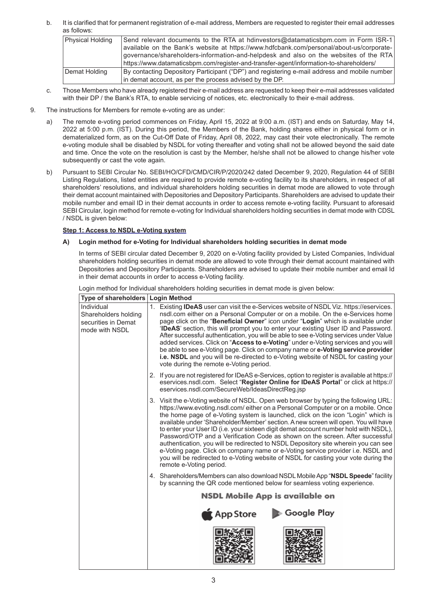b. It is clarified that for permanent registration of e-mail address, Members are requested to register their email addresses as follows:

| Physical Holding | Send relevant documents to the RTA at hdinvestors@datamaticsbpm.com in Form ISR-1            |
|------------------|----------------------------------------------------------------------------------------------|
|                  | available on the Bank's website at https://www.hdfcbank.com/personal/about-us/corporate-     |
|                  | governance/shareholders-information-and-helpdesk and also on the websites of the RTA         |
|                  | https://www.datamaticsbpm.com/register-and-transfer-agent/information-to-shareholders/       |
| Demat Holding    | By contacting Depository Participant ("DP") and registering e-mail address and mobile number |
|                  | in demat account, as per the process advised by the DP.                                      |

- c. Those Members who have already registered their e-mail address are requested to keep their e-mail addresses validated with their DP / the Bank's RTA, to enable servicing of notices, etc. electronically to their e-mail address.
- 9. The instructions for Members for remote e-voting are as under:
	- a) The remote e-voting period commences on Friday, April 15, 2022 at 9:00 a.m. (IST) and ends on Saturday, May 14, 2022 at 5:00 p.m. (IST). During this period, the Members of the Bank, holding shares either in physical form or in dematerialized form, as on the Cut-Off Date of Friday, April 08, 2022, may cast their vote electronically. The remote e-voting module shall be disabled by NSDL for voting thereafter and voting shall not be allowed beyond the said date and time. Once the vote on the resolution is cast by the Member, he/she shall not be allowed to change his/her vote subsequently or cast the vote again.
	- b) Pursuant to SEBI Circular No. SEBI/HO/CFD/CMD/CIR/P/2020/242 dated December 9, 2020, Regulation 44 of SEBI Listing Regulations, listed entities are required to provide remote e-voting facility to its shareholders, in respect of all shareholders' resolutions, and individual shareholders holding securities in demat mode are allowed to vote through their demat account maintained with Depositories and Depository Participants. Shareholders are advised to update their mobile number and email ID in their demat accounts in order to access remote e-voting facility. Pursuant to aforesaid SEBI Circular, login method for remote e-voting for Individual shareholders holding securities in demat mode with CDSL / NSDL is given below:

# **Step 1: Access to NSDL e-Voting system**

## **A) Login method for e-Voting for Individual shareholders holding securities in demat mode**

In terms of SEBI circular dated December 9, 2020 on e-Voting facility provided by Listed Companies, Individual shareholders holding securities in demat mode are allowed to vote through their demat account maintained with Depositories and Depository Participants. Shareholders are advised to update their mobile number and email Id in their demat accounts in order to access e-Voting facility.

| Type of shareholders   Login Method                                         |                                                                                                                                                                                                                                                                                                                                                                                                                                                                                                                                                                                                                                                                                                                                                                                                                        |
|-----------------------------------------------------------------------------|------------------------------------------------------------------------------------------------------------------------------------------------------------------------------------------------------------------------------------------------------------------------------------------------------------------------------------------------------------------------------------------------------------------------------------------------------------------------------------------------------------------------------------------------------------------------------------------------------------------------------------------------------------------------------------------------------------------------------------------------------------------------------------------------------------------------|
| Individual<br>Shareholders holding<br>securities in Demat<br>mode with NSDL | 1. Existing IDeAS user can visit the e-Services website of NSDL Viz. https://eservices.<br>nsdl.com either on a Personal Computer or on a mobile. On the e-Services home<br>page click on the "Beneficial Owner" icon under "Login" which is available under<br>'IDeAS' section, this will prompt you to enter your existing User ID and Password.<br>After successful authentication, you will be able to see e-Voting services under Value<br>added services. Click on "Access to e-Voting" under e-Voting services and you will<br>be able to see e-Voting page. Click on company name or e-Voting service provider<br>i.e. NSDL and you will be re-directed to e-Voting website of NSDL for casting your<br>vote during the remote e-Voting period.                                                                |
|                                                                             | 2. If you are not registered for IDeAS e-Services, option to register is available at https://<br>eservices.nsdl.com. Select "Register Online for IDeAS Portal" or click at https://<br>eservices.nsdl.com/SecureWeb/IdeasDirectReg.jsp                                                                                                                                                                                                                                                                                                                                                                                                                                                                                                                                                                                |
|                                                                             | 3. Visit the e-Voting website of NSDL. Open web browser by typing the following URL:<br>https://www.evoting.nsdl.com/either on a Personal Computer or on a mobile. Once<br>the home page of e-Voting system is launched, click on the icon "Login" which is<br>available under 'Shareholder/Member' section. A new screen will open. You will have<br>to enter your User ID (i.e. your sixteen digit demat account number hold with NSDL),<br>Password/OTP and a Verification Code as shown on the screen. After successful<br>authentication, you will be redirected to NSDL Depository site wherein you can see<br>e-Voting page. Click on company name or e-Voting service provider i.e. NSDL and<br>you will be redirected to e-Voting website of NSDL for casting your vote during the<br>remote e-Voting period. |
|                                                                             | 4. Shareholders/Members can also download NSDL Mobile App "NSDL Speede" facility<br>by scanning the QR code mentioned below for seamless voting experience.                                                                                                                                                                                                                                                                                                                                                                                                                                                                                                                                                                                                                                                            |
|                                                                             | <b>NSDL Mobile App is available on</b>                                                                                                                                                                                                                                                                                                                                                                                                                                                                                                                                                                                                                                                                                                                                                                                 |
|                                                                             | Google Play<br>ር App Store                                                                                                                                                                                                                                                                                                                                                                                                                                                                                                                                                                                                                                                                                                                                                                                             |

Login method for Individual shareholders holding securities in demat mode is given below: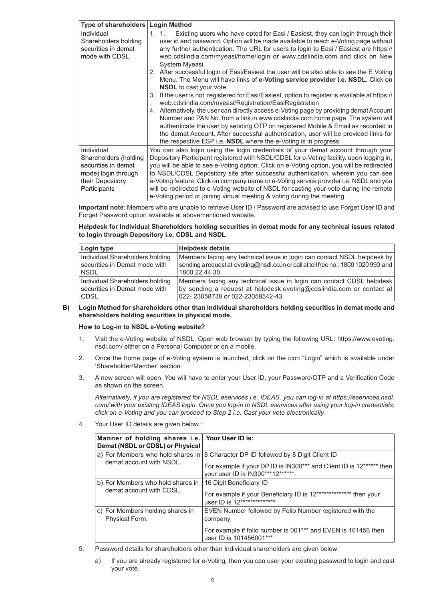| Type of shareholders                       | <b>Login Method</b>                                                                                                                                                                                                                                                                                                                                                                                                            |  |
|--------------------------------------------|--------------------------------------------------------------------------------------------------------------------------------------------------------------------------------------------------------------------------------------------------------------------------------------------------------------------------------------------------------------------------------------------------------------------------------|--|
| Individual<br>Shareholders holding         | Existing users who have opted for Easi / Easiest, they can login through their<br>1. 1.<br>user id and password. Option will be made available to reach e-Voting page without                                                                                                                                                                                                                                                  |  |
| securities in demat                        | any further authentication. The URL for users to login to Easi / Easiest are https://                                                                                                                                                                                                                                                                                                                                          |  |
| mode with CDSL                             | web.cdslindia.com/myeasi/home/login or www.cdslindia.com and click on New<br>System Myeasi.                                                                                                                                                                                                                                                                                                                                    |  |
|                                            | 2. After successful login of Easi/Easiest the user will be also able to see the E Voting<br>Menu. The Menu will have links of e-Voting service provider i.e. NSDL. Click on<br><b>NSDL</b> to cast your vote.                                                                                                                                                                                                                  |  |
|                                            | 3. If the user is not registered for Easi/Easiest, option to register is available at https://<br>web.cdslindia.com/myeasi/Registration/EasiRegistration                                                                                                                                                                                                                                                                       |  |
|                                            | 4. Alternatively, the user can directly access e-Voting page by providing demat Account<br>Number and PAN No. from a link in www.cdslindia.com home page. The system will<br>authenticate the user by sending OTP on registered Mobile & Email as recorded in<br>the demat Account. After successful authentication, user will be provided links for<br>the respective ESP i.e. <b>NSDL</b> where the e-Voting is in progress. |  |
| Individual<br>Shareholders (holding        | You can also login using the login credentials of your demat account through your<br>Depository Participant registered with NSDL/CDSL for e-Voting facility. upon logging in,                                                                                                                                                                                                                                                  |  |
| securities in demat<br>mode) login through | you will be able to see e-Voting option. Click on e-Voting option, you will be redirected<br>to NSDL/CDSL Depository site after successful authentication, wherein you can see                                                                                                                                                                                                                                                 |  |
| their Depository                           | e-Voting feature. Click on company name or e-Voting service provider i.e. NSDL and you                                                                                                                                                                                                                                                                                                                                         |  |
| Participants                               | will be redirected to e-Voting website of NSDL for casting your vote during the remote<br>e-Voting period or joining virtual meeting & voting during the meeting.                                                                                                                                                                                                                                                              |  |

**Important note**: Members who are unable to retrieve User ID / Password are advised to use Forget User ID and Forget Password option available at abovementioned website.

# **Helpdesk for Individual Shareholders holding securities in demat mode for any technical issues related to login through Depository i.e. CDSL and NSDL**

| Login type                      | <b>Helpdesk details</b>                                                             |
|---------------------------------|-------------------------------------------------------------------------------------|
| Individual Shareholders holding | Members facing any technical issue in login can contact NSDL helpdesk by            |
| securities in Demat mode with   | sending a request at evoting@nsdl.co.in or call at toll free no.: 1800 1020 990 and |
| <b>NSDL</b>                     | 1800 22 44 30                                                                       |
| Individual Shareholders holding | Members facing any technical issue in login can contact CDSL helpdesk               |
| securities in Demat mode with   | by sending a request at helpdesk.evoting@cdslindia.com or contact at                |
| <b>CDSL</b>                     | 022-23058738 or 022-23058542-43                                                     |

**B) Login Method for shareholders other than Individual shareholders holding securities in demat mode and shareholders holding securities in physical mode.**

#### **How to Log-in to NSDL e-Voting website?**

- 1. Visit the e-Voting website of NSDL. Open web browser by typing the following URL: https://www.evoting. nsdl.com/ either on a Personal Computer or on a mobile.
- 2. Once the home page of e-Voting system is launched, click on the icon "Login" which is available under 'Shareholder/Member' section.
- 3. A new screen will open. You will have to enter your User ID, your Password/OTP and a Verification Code as shown on the screen.

*Alternatively, if you are registered for NSDL eservices i.e. IDEAS, you can log-in at https://eservices.nsdl. com/ with your existing IDEAS login. Once you log-in to NSDL eservices after using your log-in credentials, click on e-Voting and you can proceed to Step 2 i.e. Cast your vote electronically.*

4. Your User ID details are given below :

| Manner of holding shares i.e. Your User ID is:<br>Demat (NSDL or CDSL) or Physical |                                                                                                                                                                                                    |
|------------------------------------------------------------------------------------|----------------------------------------------------------------------------------------------------------------------------------------------------------------------------------------------------|
| demat account with NSDL.                                                           | a) For Members who hold shares in $ 8$ Character DP ID followed by 8 Digit Client ID<br>For example if your DP ID is IN300*** and Client ID is 12****** then<br>your user ID is IN300***12*******. |
| b) For Members who hold shares in<br>demat account with CDSL.                      | 16 Digit Beneficiary ID<br>For example if your Beneficiary ID is 12*************** then your<br>user ID is 12***************                                                                       |
| c) For Members holding shares in<br>Physical Form.                                 | EVEN Number followed by Folio Number registered with the<br>company<br>For example if folio number is 001*** and EVEN is 101456 then<br>user ID is 101456001***                                    |

5. Password details for shareholders other than Individual shareholders are given below:

a) If you are already registered for e-Voting, then you can user your existing password to login and cast your vote.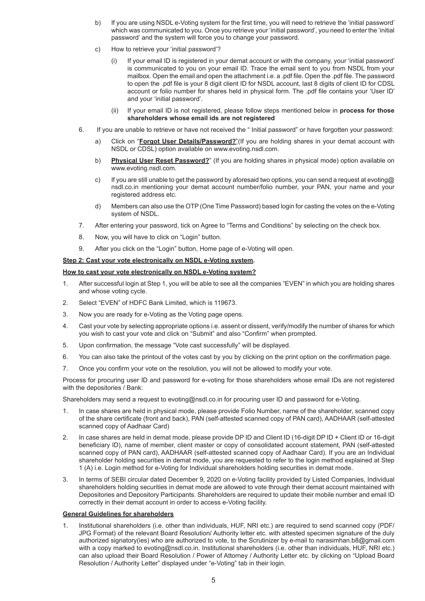- b) If you are using NSDL e-Voting system for the first time, you will need to retrieve the 'initial password' which was communicated to you. Once you retrieve your 'initial password', you need to enter the 'initial password' and the system will force you to change your password.
- c) How to retrieve your 'initial password'?
	- (i) If your email ID is registered in your demat account or with the company, your 'initial password' is communicated to you on your email ID. Trace the email sent to you from NSDL from your mailbox. Open the email and open the attachment i.e. a .pdf file. Open the .pdf file. The password to open the .pdf file is your 8 digit client ID for NSDL account, last 8 digits of client ID for CDSL account or folio number for shares held in physical form. The .pdf file contains your 'User ID' and your 'initial password'.
	- (ii) If your email ID is not registered, please follow steps mentioned below in **process for those shareholders whose email ids are not registered**
- 6. If you are unable to retrieve or have not received the " Initial password" or have forgotten your password:
	- a) Click on "**Forgot User Details/Password?**"(If you are holding shares in your demat account with NSDL or CDSL) option available on www.evoting.nsdl.com.
	- b) **Physical User Reset Password?**" (If you are holding shares in physical mode) option available on www.evoting.nsdl.com.
	- c) If you are still unable to get the password by aforesaid two options, you can send a request at evoting@ nsdl.co.in mentioning your demat account number/folio number, your PAN, your name and your registered address etc.
	- d) Members can also use the OTP (One Time Password) based login for casting the votes on the e-Voting system of NSDL.
- 7. After entering your password, tick on Agree to "Terms and Conditions" by selecting on the check box.
- 8. Now, you will have to click on "Login" button.
- 9. After you click on the "Login" button, Home page of e-Voting will open.

## **Step 2: Cast your vote electronically on NSDL e-Voting system.**

#### **How to cast your vote electronically on NSDL e-Voting system?**

- 1. After successful login at Step 1, you will be able to see all the companies "EVEN" in which you are holding shares and whose voting cycle.
- 2. Select "EVEN" of HDFC Bank Limited, which is 119673.
- 3. Now you are ready for e-Voting as the Voting page opens.
- 4. Cast your vote by selecting appropriate options i.e. assent or dissent, verify/modify the number of shares for which you wish to cast your vote and click on "Submit" and also "Confirm" when prompted.
- 5. Upon confirmation, the message "Vote cast successfully" will be displayed.
- 6. You can also take the printout of the votes cast by you by clicking on the print option on the confirmation page.
- 7. Once you confirm your vote on the resolution, you will not be allowed to modify your vote.

Process for procuring user ID and password for e-voting for those shareholders whose email IDs are not registered with the depositories / Bank:

Shareholders may send a request to evoting@nsdl.co.in for procuring user ID and password for e-Voting.

- 1. In case shares are held in physical mode, please provide Folio Number, name of the shareholder, scanned copy of the share certificate (front and back), PAN (self-attested scanned copy of PAN card), AADHAAR (self-attested scanned copy of Aadhaar Card)
- 2. In case shares are held in demat mode, please provide DP ID and Client ID (16-digit DP ID + Client ID or 16-digit beneficiary ID), name of member, client master or copy of consolidated account statement, PAN (self-attested scanned copy of PAN card), AADHAAR (self-attested scanned copy of Aadhaar Card). If you are an Individual shareholder holding securities in demat mode, you are requested to refer to the login method explained at Step 1 (A) i.e. Login method for e-Voting for Individual shareholders holding securities in demat mode.
- 3. In terms of SEBI circular dated December 9, 2020 on e-Voting facility provided by Listed Companies, Individual shareholders holding securities in demat mode are allowed to vote through their demat account maintained with Depositories and Depository Participants. Shareholders are required to update their mobile number and email ID correctly in their demat account in order to access e-Voting facility.

#### **General Guidelines for shareholders**

1. Institutional shareholders (i.e. other than individuals, HUF, NRI etc.) are required to send scanned copy (PDF/ JPG Format) of the relevant Board Resolution/ Authority letter etc. with attested specimen signature of the duly authorized signatory(ies) who are authorized to vote, to the Scrutinizer by e-mail to narasimhan.b8@gmail.com with a copy marked to evoting@nsdl.co.in. Institutional shareholders (i.e. other than individuals, HUF, NRI etc.) can also upload their Board Resolution / Power of Attorney / Authority Letter etc. by clicking on "Upload Board Resolution / Authority Letter" displayed under "e-Voting" tab in their login.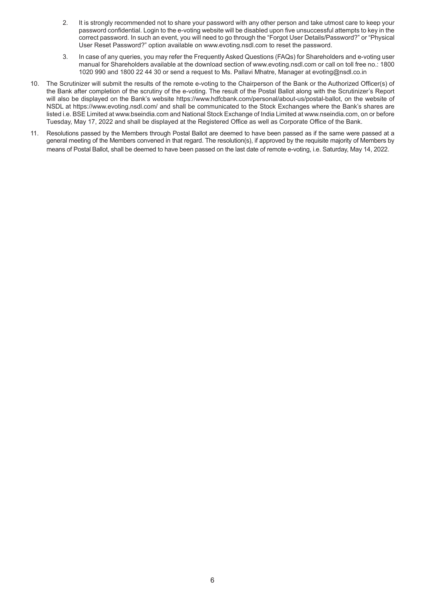- 2. It is strongly recommended not to share your password with any other person and take utmost care to keep your password confidential. Login to the e-voting website will be disabled upon five unsuccessful attempts to key in the correct password. In such an event, you will need to go through the "Forgot User Details/Password?" or "Physical User Reset Password?" option available on www.evoting.nsdl.com to reset the password.
- 3. In case of any queries, you may refer the Frequently Asked Questions (FAQs) for Shareholders and e-voting user manual for Shareholders available at the download section of www.evoting.nsdl.com or call on toll free no.: 1800 1020 990 and 1800 22 44 30 or send a request to Ms. Pallavi Mhatre, Manager at evoting@nsdl.co.in
- 10. The Scrutinizer will submit the results of the remote e-voting to the Chairperson of the Bank or the Authorized Officer(s) of the Bank after completion of the scrutiny of the e-voting. The result of the Postal Ballot along with the Scrutinizer's Report will also be displayed on the Bank's website https://www.hdfcbank.com/personal/about-us/postal-ballot, on the website of NSDL at https://www.evoting.nsdl.com/ and shall be communicated to the Stock Exchanges where the Bank's shares are listed i.e. BSE Limited at www.bseindia.com and National Stock Exchange of India Limited at www.nseindia.com, on or before Tuesday, May 17, 2022 and shall be displayed at the Registered Office as well as Corporate Office of the Bank.
- 11. Resolutions passed by the Members through Postal Ballot are deemed to have been passed as if the same were passed at a general meeting of the Members convened in that regard. The resolution(s), if approved by the requisite majority of Members by means of Postal Ballot, shall be deemed to have been passed on the last date of remote e-voting, i.e. Saturday, May 14, 2022.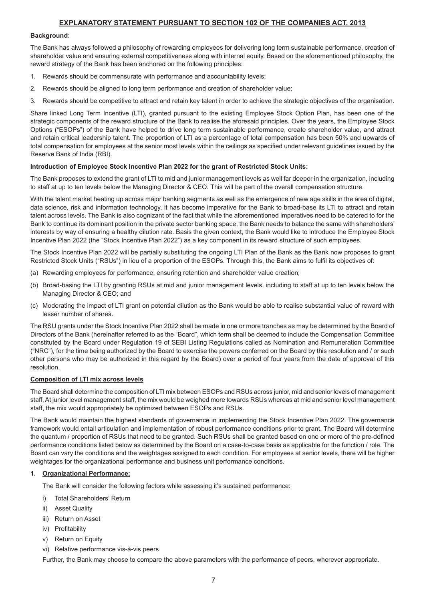# **EXPLANATORY STATEMENT PURSUANT TO SECTION 102 OF THE COMPANIES ACT, 2013**

#### **Background:**

The Bank has always followed a philosophy of rewarding employees for delivering long term sustainable performance, creation of shareholder value and ensuring external competitiveness along with internal equity. Based on the aforementioned philosophy, the reward strategy of the Bank has been anchored on the following principles:

- 1. Rewards should be commensurate with performance and accountability levels;
- 2. Rewards should be aligned to long term performance and creation of shareholder value;
- 3. Rewards should be competitive to attract and retain key talent in order to achieve the strategic objectives of the organisation.

Share linked Long Term Incentive (LTI), granted pursuant to the existing Employee Stock Option Plan, has been one of the strategic components of the reward structure of the Bank to realise the aforesaid principles. Over the years, the Employee Stock Options ("ESOPs") of the Bank have helped to drive long term sustainable performance, create shareholder value, and attract and retain critical leadership talent. The proportion of LTI as a percentage of total compensation has been 50% and upwards of total compensation for employees at the senior most levels within the ceilings as specified under relevant guidelines issued by the Reserve Bank of India (RBI).

# **Introduction of Employee Stock Incentive Plan 2022 for the grant of Restricted Stock Units:**

The Bank proposes to extend the grant of LTI to mid and junior management levels as well far deeper in the organization, including to staff at up to ten levels below the Managing Director & CEO. This will be part of the overall compensation structure.

With the talent market heating up across major banking segments as well as the emergence of new age skills in the area of digital, data science, risk and information technology, it has become imperative for the Bank to broad-base its LTI to attract and retain talent across levels. The Bank is also cognizant of the fact that while the aforementioned imperatives need to be catered to for the Bank to continue its dominant position in the private sector banking space, the Bank needs to balance the same with shareholders' interests by way of ensuring a healthy dilution rate. Basis the given context, the Bank would like to introduce the Employee Stock Incentive Plan 2022 (the "Stock Incentive Plan 2022") as a key component in its reward structure of such employees.

The Stock Incentive Plan 2022 will be partially substituting the ongoing LTI Plan of the Bank as the Bank now proposes to grant Restricted Stock Units ("RSUs") in lieu of a proportion of the ESOPs. Through this, the Bank aims to fulfil its objectives of:

- (a) Rewarding employees for performance, ensuring retention and shareholder value creation;
- (b) Broad-basing the LTI by granting RSUs at mid and junior management levels, including to staff at up to ten levels below the Managing Director & CEO; and
- (c) Moderating the impact of LTI grant on potential dilution as the Bank would be able to realise substantial value of reward with lesser number of shares.

The RSU grants under the Stock Incentive Plan 2022 shall be made in one or more tranches as may be determined by the Board of Directors of the Bank (hereinafter referred to as the "Board", which term shall be deemed to include the Compensation Committee constituted by the Board under Regulation 19 of SEBI Listing Regulations called as Nomination and Remuneration Committee ("NRC"), for the time being authorized by the Board to exercise the powers conferred on the Board by this resolution and / or such other persons who may be authorized in this regard by the Board) over a period of four years from the date of approval of this resolution.

# **Composition of LTI mix across levels**

The Board shall determine the composition of LTI mix between ESOPs and RSUs across junior, mid and senior levels of management staff. At junior level management staff, the mix would be weighed more towards RSUs whereas at mid and senior level management staff, the mix would appropriately be optimized between ESOPs and RSUs.

The Bank would maintain the highest standards of governance in implementing the Stock Incentive Plan 2022. The governance framework would entail articulation and implementation of robust performance conditions prior to grant. The Board will determine the quantum / proportion of RSUs that need to be granted. Such RSUs shall be granted based on one or more of the pre-defined performance conditions listed below as determined by the Board on a case-to-case basis as applicable for the function / role. The Board can vary the conditions and the weightages assigned to each condition. For employees at senior levels, there will be higher weightages for the organizational performance and business unit performance conditions.

# **1. Organizational Performance:**

The Bank will consider the following factors while assessing it's sustained performance:

- i) Total Shareholders' Return
- ii) Asset Quality
- iii) Return on Asset
- iv) Profitability
- v) Return on Equity
- vi) Relative performance vis-à-vis peers

Further, the Bank may choose to compare the above parameters with the performance of peers, wherever appropriate.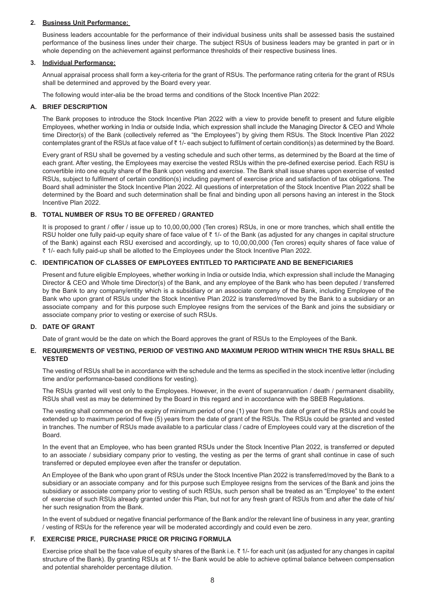# **2. Business Unit Performance:**

Business leaders accountable for the performance of their individual business units shall be assessed basis the sustained performance of the business lines under their charge. The subject RSUs of business leaders may be granted in part or in whole depending on the achievement against performance thresholds of their respective business lines.

### **3. Individual Performance:**

Annual appraisal process shall form a key-criteria for the grant of RSUs. The performance rating criteria for the grant of RSUs shall be determined and approved by the Board every year.

The following would inter-alia be the broad terms and conditions of the Stock Incentive Plan 2022:

# **A. BRIEF DESCRIPTION**

The Bank proposes to introduce the Stock Incentive Plan 2022 with a view to provide benefit to present and future eligible Employees, whether working in India or outside India, which expression shall include the Managing Director & CEO and Whole time Director(s) of the Bank (collectively referred as "the Employees") by giving them RSUs. The Stock Incentive Plan 2022 contemplates grant of the RSUs at face value of  $\bar{\tau}$  1/- each subject to fulfilment of certain condition(s) as determined by the Board.

Every grant of RSU shall be governed by a vesting schedule and such other terms, as determined by the Board at the time of each grant. After vesting, the Employees may exercise the vested RSUs within the pre-defined exercise period. Each RSU is convertible into one equity share of the Bank upon vesting and exercise. The Bank shall issue shares upon exercise of vested RSUs, subject to fulfilment of certain condition(s) including payment of exercise price and satisfaction of tax obligations. The Board shall administer the Stock Incentive Plan 2022. All questions of interpretation of the Stock Incentive Plan 2022 shall be determined by the Board and such determination shall be final and binding upon all persons having an interest in the Stock Incentive Plan 2022.

# **B. TOTAL NUMBER OF RSUs TO BE OFFERED / GRANTED**

It is proposed to grant / offer / issue up to 10,00,00,000 (Ten crores) RSUs, in one or more tranches, which shall entitle the RSU holder one fully paid-up equity share of face value of  $\bar{\tau}$  1/- of the Bank (as adjusted for any changes in capital structure of the Bank) against each RSU exercised and accordingly, up to 10,00,00,000 (Ten crores) equity shares of face value of ` 1/- each fully paid-up shall be allotted to the Employees under the Stock Incentive Plan 2022.

# **C. IDENTIFICATION OF CLASSES OF EMPLOYEES ENTITLED TO PARTICIPATE AND BE BENEFICIARIES**

Present and future eligible Employees, whether working in India or outside India, which expression shall include the Managing Director & CEO and Whole time Director(s) of the Bank, and any employee of the Bank who has been deputed / transferred by the Bank to any company/entity which is a subsidiary or an associate company of the Bank, including Employee of the Bank who upon grant of RSUs under the Stock Incentive Plan 2022 is transferred/moved by the Bank to a subsidiary or an associate company and for this purpose such Employee resigns from the services of the Bank and joins the subsidiary or associate company prior to vesting or exercise of such RSUs.

# **D. DATE OF GRANT**

Date of grant would be the date on which the Board approves the grant of RSUs to the Employees of the Bank.

# **E. REQUIREMENTS OF VESTING, PERIOD OF VESTING AND MAXIMUM PERIOD WITHIN WHICH THE RSUs SHALL BE VESTED**

The vesting of RSUs shall be in accordance with the schedule and the terms as specified in the stock incentive letter (including time and/or performance-based conditions for vesting).

The RSUs granted will vest only to the Employees. However, in the event of superannuation / death / permanent disability, RSUs shall vest as may be determined by the Board in this regard and in accordance with the SBEB Regulations.

The vesting shall commence on the expiry of minimum period of one (1) year from the date of grant of the RSUs and could be extended up to maximum period of five (5) years from the date of grant of the RSUs. The RSUs could be granted and vested in tranches. The number of RSUs made available to a particular class / cadre of Employees could vary at the discretion of the Board.

In the event that an Employee, who has been granted RSUs under the Stock Incentive Plan 2022, is transferred or deputed to an associate / subsidiary company prior to vesting, the vesting as per the terms of grant shall continue in case of such transferred or deputed employee even after the transfer or deputation.

An Employee of the Bank who upon grant of RSUs under the Stock Incentive Plan 2022 is transferred/moved by the Bank to a subsidiary or an associate company and for this purpose such Employee resigns from the services of the Bank and joins the subsidiary or associate company prior to vesting of such RSUs, such person shall be treated as an "Employee" to the extent of exercise of such RSUs already granted under this Plan, but not for any fresh grant of RSUs from and after the date of his/ her such resignation from the Bank.

In the event of subdued or negative financial performance of the Bank and/or the relevant line of business in any year, granting / vesting of RSUs for the reference year will be moderated accordingly and could even be zero.

# **F. EXERCISE PRICE, PURCHASE PRICE OR PRICING FORMULA**

Exercise price shall be the face value of equity shares of the Bank i.e.  $\bar{\zeta}$  1/- for each unit (as adjusted for any changes in capital structure of the Bank). By granting RSUs at  $\bar{z}$  1/- the Bank would be able to achieve optimal balance between compensation and potential shareholder percentage dilution.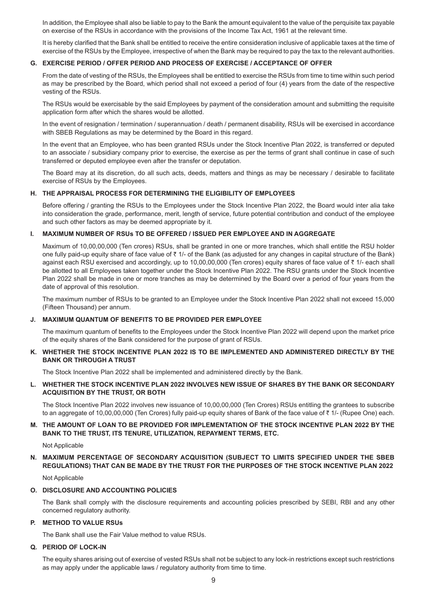In addition, the Employee shall also be liable to pay to the Bank the amount equivalent to the value of the perquisite tax payable on exercise of the RSUs in accordance with the provisions of the Income Tax Act, 1961 at the relevant time.

It is hereby clarified that the Bank shall be entitled to receive the entire consideration inclusive of applicable taxes at the time of exercise of the RSUs by the Employee, irrespective of when the Bank may be required to pay the tax to the relevant authorities.

#### **G. EXERCISE PERIOD / OFFER PERIOD AND PROCESS OF EXERCISE / ACCEPTANCE OF OFFER**

From the date of vesting of the RSUs, the Employees shall be entitled to exercise the RSUs from time to time within such period as may be prescribed by the Board, which period shall not exceed a period of four (4) years from the date of the respective vesting of the RSUs.

The RSUs would be exercisable by the said Employees by payment of the consideration amount and submitting the requisite application form after which the shares would be allotted.

In the event of resignation / termination / superannuation / death / permanent disability, RSUs will be exercised in accordance with SBEB Regulations as may be determined by the Board in this regard.

In the event that an Employee, who has been granted RSUs under the Stock Incentive Plan 2022, is transferred or deputed to an associate / subsidiary company prior to exercise, the exercise as per the terms of grant shall continue in case of such transferred or deputed employee even after the transfer or deputation.

The Board may at its discretion, do all such acts, deeds, matters and things as may be necessary / desirable to facilitate exercise of RSUs by the Employees.

#### **H. THE APPRAISAL PROCESS FOR DETERMINING THE ELIGIBILITY OF EMPLOYEES**

Before offering / granting the RSUs to the Employees under the Stock Incentive Plan 2022, the Board would inter alia take into consideration the grade, performance, merit, length of service, future potential contribution and conduct of the employee and such other factors as may be deemed appropriate by it.

## **I. MAXIMUM NUMBER OF RSUs TO BE OFFERED / ISSUED PER EMPLOYEE AND IN AGGREGATE**

Maximum of 10,00,00,000 (Ten crores) RSUs, shall be granted in one or more tranches, which shall entitle the RSU holder one fully paid-up equity share of face value of  $\bar{\tau}$  1/- of the Bank (as adjusted for any changes in capital structure of the Bank) against each RSU exercised and accordingly, up to 10,00,00,000 (Ten crores) equity shares of face value of  $\bar{\tau}$  1/- each shall be allotted to all Employees taken together under the Stock Incentive Plan 2022. The RSU grants under the Stock Incentive Plan 2022 shall be made in one or more tranches as may be determined by the Board over a period of four years from the date of approval of this resolution.

The maximum number of RSUs to be granted to an Employee under the Stock Incentive Plan 2022 shall not exceed 15,000 (Fifteen Thousand) per annum.

## **J. MAXIMUM QUANTUM OF BENEFITS TO BE PROVIDED PER EMPLOYEE**

The maximum quantum of benefits to the Employees under the Stock Incentive Plan 2022 will depend upon the market price of the equity shares of the Bank considered for the purpose of grant of RSUs.

# **K. WHETHER THE STOCK INCENTIVE PLAN 2022 IS TO BE IMPLEMENTED AND ADMINISTERED DIRECTLY BY THE BANK OR THROUGH A TRUST**

The Stock Incentive Plan 2022 shall be implemented and administered directly by the Bank.

## **L. WHETHER THE STOCK INCENTIVE PLAN 2022 INVOLVES NEW ISSUE OF SHARES BY THE BANK OR SECONDARY ACQUISITION BY THE TRUST, OR BOTH**

The Stock Incentive Plan 2022 involves new issuance of 10,00,00,000 (Ten Crores) RSUs entitling the grantees to subscribe to an aggregate of 10,00,00,000 (Ten Crores) fully paid-up equity shares of Bank of the face value of  $\bar{\tau}$  1/- (Rupee One) each.

# **M. THE AMOUNT OF LOAN TO BE PROVIDED FOR IMPLEMENTATION OF THE STOCK INCENTIVE PLAN 2022 BY THE BANK TO THE TRUST, ITS TENURE, UTILIZATION, REPAYMENT TERMS, ETC.**

Not Applicable

# **N. MAXIMUM PERCENTAGE OF SECONDARY ACQUISITION (SUBJECT TO LIMITS SPECIFIED UNDER THE SBEB REGULATIONS) THAT CAN BE MADE BY THE TRUST FOR THE PURPOSES OF THE STOCK INCENTIVE PLAN 2022**

Not Applicable

# **O. DISCLOSURE AND ACCOUNTING POLICIES**

The Bank shall comply with the disclosure requirements and accounting policies prescribed by SEBI, RBI and any other concerned regulatory authority.

# **P. METHOD TO VALUE RSUs**

The Bank shall use the Fair Value method to value RSUs.

#### **Q. PERIOD OF LOCK-IN**

The equity shares arising out of exercise of vested RSUs shall not be subject to any lock-in restrictions except such restrictions as may apply under the applicable laws / regulatory authority from time to time.